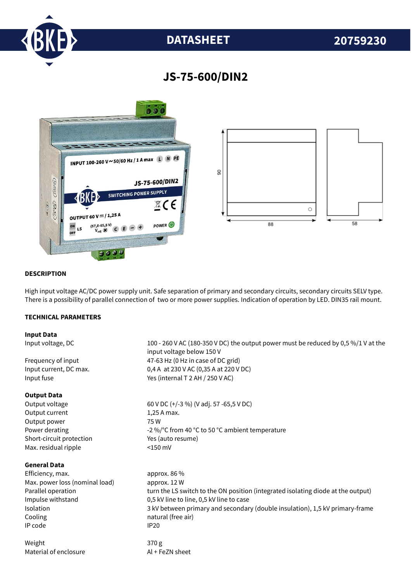

# **DATASHEET 20759230**

## **JS-75-600/DIN2**



#### **DESCRIPTION**

High input voltage AC/DC power supply unit. Safe separation of primary and secondary circuits, secondary circuits SELV type. There is a possibility of parallel connection of two or more power supplies. Indication of operation by LED. DIN35 rail mount.

#### **TECHNICAL PARAMETERS**

#### **Input Data**

#### **Output Data**

Output current 1,25 A max. Output power 75 W Short-circuit protection Yes (auto resume) Max. residual ripple <150 mV

#### **General Data**

Efficiency. max. approx. 86 % Max. power loss (nominal load) approx. 12 W Cooling **natural** (free air) IP code IP20

Weight 370 g Material of enclosure Al + FeZN sheet

Input voltage, DC 100 - 260 V AC (180-350 V DC) the output power must be reduced by 0,5 %/1 V at the input voltage below 150 V Frequency of input  $47-63$  Hz (0 Hz in case of DC grid) Input current, DC max. 0,4 A at 230 V AC (0,35 A at 220 V DC) Input fuse Yes (internal T 2 AH / 250 V AC) Output voltage 60 V DC (+/-3 %) (V adj. 57 -65,5 V DC) Power derating  $-2\%$  °C from 40 °C to 50 °C ambient temperature Parallel operation turn the LS switch to the ON position (integrated isolating diode at the output) Impulse withstand 0,5 kV line to line, 0,5 kV line to case Isolation 3 kV between primary and secondary (double insulation), 1,5 kV primary-frame